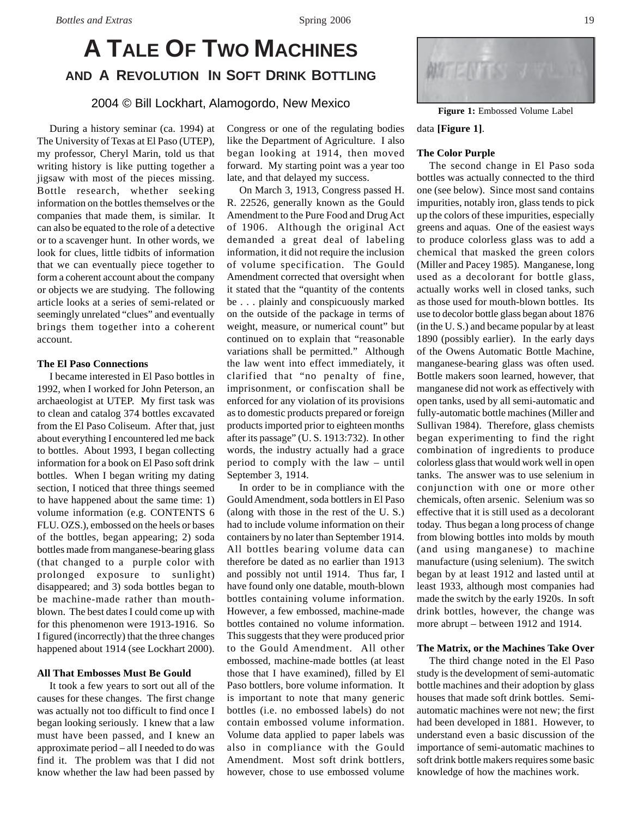# **A TALE OF TWO MACHINES AND A REVOLUTION IN SOFT DRINK BOTTLING**

2004 © Bill Lockhart, Alamogordo, New Mexico

During a history seminar (ca. 1994) at The University of Texas at El Paso (UTEP), my professor, Cheryl Marin, told us that writing history is like putting together a jigsaw with most of the pieces missing. Bottle research, whether seeking information on the bottles themselves or the companies that made them, is similar. It can also be equated to the role of a detective or to a scavenger hunt. In other words, we look for clues, little tidbits of information that we can eventually piece together to form a coherent account about the company or objects we are studying. The following article looks at a series of semi-related or seemingly unrelated "clues" and eventually brings them together into a coherent account.

# **The El Paso Connections**

I became interested in El Paso bottles in 1992, when I worked for John Peterson, an archaeologist at UTEP. My first task was to clean and catalog 374 bottles excavated from the El Paso Coliseum. After that, just about everything I encountered led me back to bottles. About 1993, I began collecting information for a book on El Paso soft drink bottles. When I began writing my dating section, I noticed that three things seemed to have happened about the same time: 1) volume information (e.g. CONTENTS 6 FLU. OZS.), embossed on the heels or bases of the bottles, began appearing; 2) soda bottles made from manganese-bearing glass (that changed to a purple color with prolonged exposure to sunlight) disappeared; and 3) soda bottles began to be machine-made rather than mouthblown. The best dates I could come up with for this phenomenon were 1913-1916. So I figured (incorrectly) that the three changes happened about 1914 (see Lockhart 2000).

#### **All That Embosses Must Be Gould**

It took a few years to sort out all of the causes for these changes. The first change was actually not too difficult to find once I began looking seriously. I knew that a law must have been passed, and I knew an approximate period – all I needed to do was find it. The problem was that I did not know whether the law had been passed by

Congress or one of the regulating bodies like the Department of Agriculture. I also began looking at 1914, then moved forward. My starting point was a year too late, and that delayed my success.

On March 3, 1913, Congress passed H. R. 22526, generally known as the Gould Amendment to the Pure Food and Drug Act of 1906. Although the original Act demanded a great deal of labeling information, it did not require the inclusion of volume specification. The Gould Amendment corrected that oversight when it stated that the "quantity of the contents be . . . plainly and conspicuously marked on the outside of the package in terms of weight, measure, or numerical count" but continued on to explain that "reasonable variations shall be permitted." Although the law went into effect immediately, it clarified that "no penalty of fine, imprisonment, or confiscation shall be enforced for any violation of its provisions as to domestic products prepared or foreign products imported prior to eighteen months after its passage" (U. S. 1913:732). In other words, the industry actually had a grace period to comply with the law – until September 3, 1914.

In order to be in compliance with the Gould Amendment, soda bottlers in El Paso (along with those in the rest of the U. S.) had to include volume information on their containers by no later than September 1914. All bottles bearing volume data can therefore be dated as no earlier than 1913 and possibly not until 1914. Thus far, I have found only one datable, mouth-blown bottles containing volume information. However, a few embossed, machine-made bottles contained no volume information. This suggests that they were produced prior to the Gould Amendment. All other embossed, machine-made bottles (at least those that I have examined), filled by El Paso bottlers, bore volume information. It is important to note that many generic bottles (i.e. no embossed labels) do not contain embossed volume information. Volume data applied to paper labels was also in compliance with the Gould Amendment. Most soft drink bottlers, however, chose to use embossed volume



**Figure 1:** Embossed Volume Label

# data **[Figure 1]**.

#### **The Color Purple**

The second change in El Paso soda bottles was actually connected to the third one (see below). Since most sand contains impurities, notably iron, glass tends to pick up the colors of these impurities, especially greens and aquas. One of the easiest ways to produce colorless glass was to add a chemical that masked the green colors (Miller and Pacey 1985). Manganese, long used as a decolorant for bottle glass, actually works well in closed tanks, such as those used for mouth-blown bottles. Its use to decolor bottle glass began about 1876 (in the U. S.) and became popular by at least 1890 (possibly earlier). In the early days of the Owens Automatic Bottle Machine, manganese-bearing glass was often used. Bottle makers soon learned, however, that manganese did not work as effectively with open tanks, used by all semi-automatic and fully-automatic bottle machines (Miller and Sullivan 1984). Therefore, glass chemists began experimenting to find the right combination of ingredients to produce colorless glass that would work well in open tanks. The answer was to use selenium in conjunction with one or more other chemicals, often arsenic. Selenium was so effective that it is still used as a decolorant today. Thus began a long process of change from blowing bottles into molds by mouth (and using manganese) to machine manufacture (using selenium). The switch began by at least 1912 and lasted until at least 1933, although most companies had made the switch by the early 1920s. In soft drink bottles, however, the change was more abrupt – between 1912 and 1914.

#### **The Matrix, or the Machines Take Over**

The third change noted in the El Paso study is the development of semi-automatic bottle machines and their adoption by glass houses that made soft drink bottles. Semiautomatic machines were not new; the first had been developed in 1881. However, to understand even a basic discussion of the importance of semi-automatic machines to soft drink bottle makers requires some basic knowledge of how the machines work.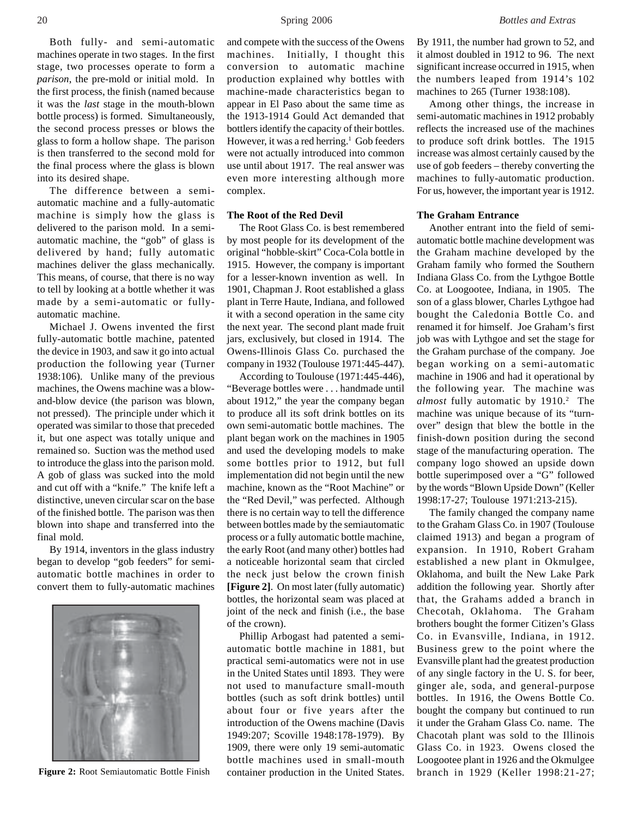Both fully- and semi-automatic machines operate in two stages. In the first stage, two processes operate to form a *parison*, the pre-mold or initial mold. In the first process, the finish (named because it was the *last* stage in the mouth-blown bottle process) is formed. Simultaneously, the second process presses or blows the glass to form a hollow shape. The parison is then transferred to the second mold for the final process where the glass is blown into its desired shape.

The difference between a semiautomatic machine and a fully-automatic machine is simply how the glass is delivered to the parison mold. In a semiautomatic machine, the "gob" of glass is delivered by hand; fully automatic machines deliver the glass mechanically. This means, of course, that there is no way to tell by looking at a bottle whether it was made by a semi-automatic or fullyautomatic machine.

Michael J. Owens invented the first fully-automatic bottle machine, patented the device in 1903, and saw it go into actual production the following year (Turner 1938:106). Unlike many of the previous machines, the Owens machine was a blowand-blow device (the parison was blown, not pressed). The principle under which it operated was similar to those that preceded it, but one aspect was totally unique and remained so. Suction was the method used to introduce the glass into the parison mold. A gob of glass was sucked into the mold and cut off with a "knife." The knife left a distinctive, uneven circular scar on the base of the finished bottle. The parison was then blown into shape and transferred into the final mold.

By 1914, inventors in the glass industry began to develop "gob feeders" for semiautomatic bottle machines in order to convert them to fully-automatic machines



and compete with the success of the Owens machines. Initially, I thought this conversion to automatic machine production explained why bottles with machine-made characteristics began to appear in El Paso about the same time as the 1913-1914 Gould Act demanded that bottlers identify the capacity of their bottles. However, it was a red herring.<sup>1</sup> Gob feeders were not actually introduced into common use until about 1917. The real answer was even more interesting although more complex.

### **The Root of the Red Devil**

The Root Glass Co. is best remembered by most people for its development of the original "hobble-skirt" Coca-Cola bottle in 1915. However, the company is important for a lesser-known invention as well. In 1901, Chapman J. Root established a glass plant in Terre Haute, Indiana, and followed it with a second operation in the same city the next year. The second plant made fruit jars, exclusively, but closed in 1914. The Owens-Illinois Glass Co. purchased the company in 1932 (Toulouse 1971:445-447).

According to Toulouse (1971:445-446), "Beverage bottles were . . . handmade until about 1912," the year the company began to produce all its soft drink bottles on its own semi-automatic bottle machines. The plant began work on the machines in 1905 and used the developing models to make some bottles prior to 1912, but full implementation did not begin until the new machine, known as the "Root Machine" or the "Red Devil," was perfected. Although there is no certain way to tell the difference between bottles made by the semiautomatic process or a fully automatic bottle machine, the early Root (and many other) bottles had a noticeable horizontal seam that circled the neck just below the crown finish **[Figure 2]**. On most later (fully automatic) bottles, the horizontal seam was placed at joint of the neck and finish (i.e., the base of the crown).

Phillip Arbogast had patented a semiautomatic bottle machine in 1881, but practical semi-automatics were not in use in the United States until 1893. They were not used to manufacture small-mouth bottles (such as soft drink bottles) until about four or five years after the introduction of the Owens machine (Davis 1949:207; Scoville 1948:178-1979). By 1909, there were only 19 semi-automatic bottle machines used in small-mouth **Figure 2:** Root Semiautomatic Bottle Finish container production in the United States.

By 1911, the number had grown to 52, and it almost doubled in 1912 to 96. The next significant increase occurred in 1915, when the numbers leaped from 1914's 102 machines to 265 (Turner 1938:108).

Among other things, the increase in semi-automatic machines in 1912 probably reflects the increased use of the machines to produce soft drink bottles. The 1915 increase was almost certainly caused by the use of gob feeders – thereby converting the machines to fully-automatic production. For us, however, the important year is 1912.

## **The Graham Entrance**

Another entrant into the field of semiautomatic bottle machine development was the Graham machine developed by the Graham family who formed the Southern Indiana Glass Co. from the Lythgoe Bottle Co. at Loogootee, Indiana, in 1905. The son of a glass blower, Charles Lythgoe had bought the Caledonia Bottle Co. and renamed it for himself. Joe Graham's first job was with Lythgoe and set the stage for the Graham purchase of the company. Joe began working on a semi-automatic machine in 1906 and had it operational by the following year. The machine was almost fully automatic by 1910.<sup>2</sup> The machine was unique because of its "turnover" design that blew the bottle in the finish-down position during the second stage of the manufacturing operation. The company logo showed an upside down bottle superimposed over a "G" followed by the words "Blown Upside Down" (Keller 1998:17-27; Toulouse 1971:213-215).

The family changed the company name to the Graham Glass Co. in 1907 (Toulouse claimed 1913) and began a program of expansion. In 1910, Robert Graham established a new plant in Okmulgee, Oklahoma, and built the New Lake Park addition the following year. Shortly after that, the Grahams added a branch in Checotah, Oklahoma. The Graham brothers bought the former Citizen's Glass Co. in Evansville, Indiana, in 1912. Business grew to the point where the Evansville plant had the greatest production of any single factory in the U. S. for beer, ginger ale, soda, and general-purpose bottles. In 1916, the Owens Bottle Co. bought the company but continued to run it under the Graham Glass Co. name. The Chacotah plant was sold to the Illinois Glass Co. in 1923. Owens closed the Loogootee plant in 1926 and the Okmulgee branch in 1929 (Keller 1998:21-27;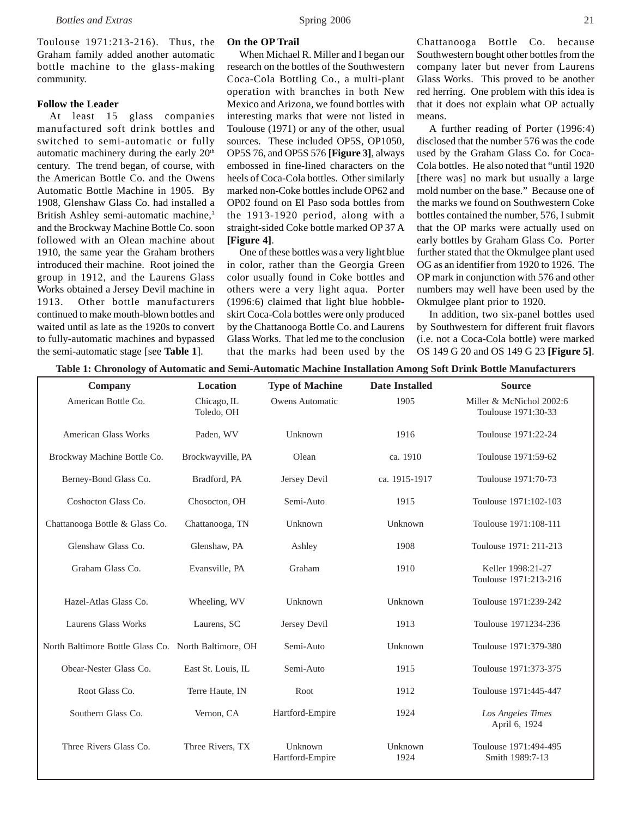Toulouse 1971:213-216). Thus, the Graham family added another automatic bottle machine to the glass-making community.

### **Follow the Leader**

At least 15 glass companies manufactured soft drink bottles and switched to semi-automatic or fully automatic machinery during the early 20<sup>th</sup> century. The trend began, of course, with the American Bottle Co. and the Owens Automatic Bottle Machine in 1905. By 1908, Glenshaw Glass Co. had installed a British Ashley semi-automatic machine,<sup>3</sup> and the Brockway Machine Bottle Co. soon followed with an Olean machine about 1910, the same year the Graham brothers introduced their machine. Root joined the group in 1912, and the Laurens Glass Works obtained a Jersey Devil machine in 1913. Other bottle manufacturers continued to make mouth-blown bottles and waited until as late as the 1920s to convert to fully-automatic machines and bypassed the semi-automatic stage [see **Table 1**].

#### **On the OP Trail**

When Michael R. Miller and I began our research on the bottles of the Southwestern Coca-Cola Bottling Co., a multi-plant operation with branches in both New Mexico and Arizona, we found bottles with interesting marks that were not listed in Toulouse (1971) or any of the other, usual sources. These included OP5S, OP1050, OP5S 76, and OP5S 576 **[Figure 3]**, always embossed in fine-lined characters on the heels of Coca-Cola bottles. Other similarly marked non-Coke bottles include OP62 and OP02 found on El Paso soda bottles from the 1913-1920 period, along with a straight-sided Coke bottle marked OP 37 A **[Figure 4]**.

One of these bottles was a very light blue in color, rather than the Georgia Green color usually found in Coke bottles and others were a very light aqua. Porter (1996:6) claimed that light blue hobbleskirt Coca-Cola bottles were only produced by the Chattanooga Bottle Co. and Laurens Glass Works. That led me to the conclusion that the marks had been used by the

Chattanooga Bottle Co. because Southwestern bought other bottles from the company later but never from Laurens Glass Works. This proved to be another red herring. One problem with this idea is that it does not explain what OP actually means.

A further reading of Porter (1996:4) disclosed that the number 576 was the code used by the Graham Glass Co. for Coca-Cola bottles. He also noted that "until 1920 [there was] no mark but usually a large mold number on the base." Because one of the marks we found on Southwestern Coke bottles contained the number, 576, I submit that the OP marks were actually used on early bottles by Graham Glass Co. Porter further stated that the Okmulgee plant used OG as an identifier from 1920 to 1926. The OP mark in conjunction with 576 and other numbers may well have been used by the Okmulgee plant prior to 1920.

In addition, two six-panel bottles used by Southwestern for different fruit flavors (i.e. not a Coca-Cola bottle) were marked OS 149 G 20 and OS 149 G 23 **[Figure 5]**.

| <b>Company</b>                                       | Location                  | <b>Type of Machine</b>     | <b>Date Installed</b> | <b>Source</b>                                   |
|------------------------------------------------------|---------------------------|----------------------------|-----------------------|-------------------------------------------------|
| American Bottle Co.                                  | Chicago, IL<br>Toledo, OH | Owens Automatic            | 1905                  | Miller & McNichol 2002:6<br>Toulouse 1971:30-33 |
| <b>American Glass Works</b>                          | Paden, WV                 | Unknown                    | 1916                  | Toulouse 1971:22-24                             |
| Brockway Machine Bottle Co.                          | Brockwayville, PA         | Olean                      | ca. 1910              | Toulouse 1971:59-62                             |
| Berney-Bond Glass Co.                                | Bradford, PA              | Jersey Devil               | ca. 1915-1917         | Toulouse 1971:70-73                             |
| Coshocton Glass Co.                                  | Chosocton, OH             | Semi-Auto                  | 1915                  | Toulouse 1971:102-103                           |
| Chattanooga Bottle & Glass Co.                       | Chattanooga, TN           | Unknown                    | Unknown               | Toulouse 1971:108-111                           |
| Glenshaw Glass Co.                                   | Glenshaw, PA              | Ashley                     | 1908                  | Toulouse 1971: 211-213                          |
| Graham Glass Co.                                     | Evansville, PA            | Graham                     | 1910                  | Keller 1998:21-27<br>Toulouse 1971:213-216      |
| Hazel-Atlas Glass Co.                                | Wheeling, WV              | Unknown                    | Unknown               | Toulouse 1971:239-242                           |
| Laurens Glass Works                                  | Laurens, SC               | Jersey Devil               | 1913                  | Toulouse 1971234-236                            |
| North Baltimore Bottle Glass Co. North Baltimore, OH |                           | Semi-Auto                  | Unknown               | Toulouse 1971:379-380                           |
| Obear-Nester Glass Co.                               | East St. Louis, IL        | Semi-Auto                  | 1915                  | Toulouse 1971:373-375                           |
| Root Glass Co.                                       | Terre Haute, IN           | Root                       | 1912                  | Toulouse 1971:445-447                           |
| Southern Glass Co.                                   | Vernon, CA                | Hartford-Empire            | 1924                  | Los Angeles Times<br>April 6, 1924              |
| Three Rivers Glass Co.                               | Three Rivers, TX          | Unknown<br>Hartford-Empire | Unknown<br>1924       | Toulouse 1971:494-495<br>Smith 1989:7-13        |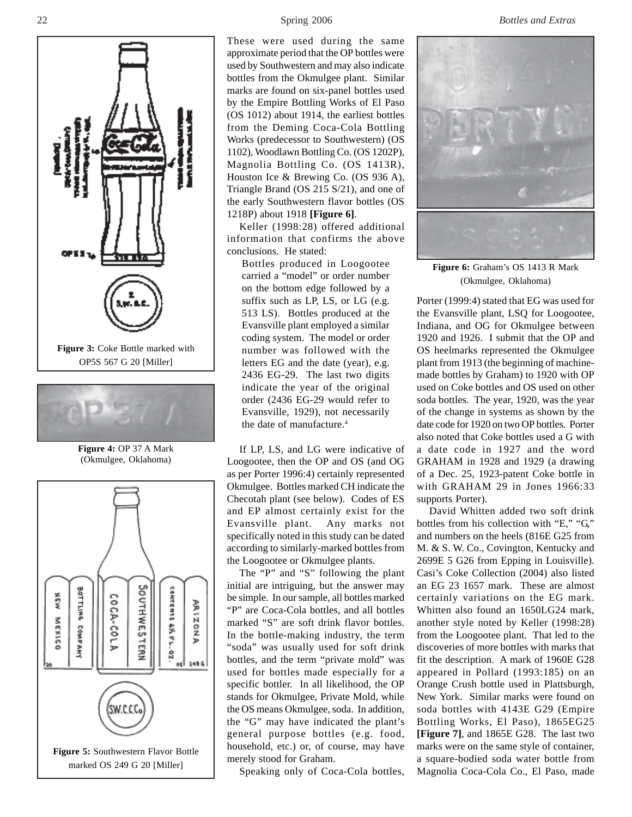



**Figure 4:** OP 37 A Mark (Okmulgee, Oklahoma)



These were used during the same approximate period that the OP bottles were used by Southwestern and may also indicate bottles from the Okmulgee plant. Similar marks are found on six-panel bottles used by the Empire Bottling Works of El Paso (OS 1012) about 1914, the earliest bottles from the Deming Coca-Cola Bottling Works (predecessor to Southwestern) (OS 1102), Woodlawn Bottling Co. (OS 1202P), Magnolia Bottling Co. (OS 1413R), Houston Ice & Brewing Co. (OS 936 A), Triangle Brand (OS 215 S/21), and one of the early Southwestern flavor bottles (OS 1218P) about 1918 **[Figure 6]**.

Keller (1998:28) offered additional information that confirms the above conclusions. He stated:

Bottles produced in Loogootee carried a "model" or order number on the bottom edge followed by a suffix such as LP, LS, or LG (e.g. 513 LS). Bottles produced at the Evansville plant employed a similar coding system. The model or order number was followed with the letters EG and the date (year), e.g. 2436 EG-29. The last two digits indicate the year of the original order (2436 EG-29 would refer to Evansville, 1929), not necessarily the date of manufacture.<sup>4</sup>

If LP, LS, and LG were indicative of Loogootee, then the OP and OS (and OG as per Porter 1996:4) certainly represented Okmulgee. Bottles marked CH indicate the Checotah plant (see below). Codes of ES and EP almost certainly exist for the Evansville plant. Any marks not specifically noted in this study can be dated according to similarly-marked bottles from the Loogootee or Okmulgee plants.

The "P" and "S" following the plant initial are intriguing, but the answer may be simple. In our sample, all bottles marked "P" are Coca-Cola bottles, and all bottles marked "S" are soft drink flavor bottles. In the bottle-making industry, the term "soda" was usually used for soft drink bottles, and the term "private mold" was used for bottles made especially for a specific bottler. In all likelihood, the OP stands for Okmulgee, Private Mold, while the OS means Okmulgee, soda. In addition, the "G" may have indicated the plant's general purpose bottles (e.g. food, household, etc.) or, of course, may have merely stood for Graham.

Speaking only of Coca-Cola bottles,



**Figure 6:** Graham's OS 1413 R Mark (Okmulgee, Oklahoma)

Porter (1999:4) stated that EG was used for the Evansville plant, LSQ for Loogootee, Indiana, and OG for Okmulgee between 1920 and 1926. I submit that the OP and OS heelmarks represented the Okmulgee plant from 1913 (the beginning of machinemade bottles by Graham) to 1920 with OP used on Coke bottles and OS used on other soda bottles. The year, 1920, was the year of the change in systems as shown by the date code for 1920 on two OP bottles. Porter also noted that Coke bottles used a G with a date code in 1927 and the word GRAHAM in 1928 and 1929 (a drawing of a Dec. 25, 1923-patent Coke bottle in with GRAHAM 29 in Jones 1966:33 supports Porter).

David Whitten added two soft drink bottles from his collection with "E," "G," and numbers on the heels (816E G25 from M. & S. W. Co., Covington, Kentucky and 2699E 5 G26 from Epping in Louisville). Casi's Coke Collection (2004) also listed an EG 23 1657 mark. These are almost certainly variations on the EG mark. Whitten also found an 1650LG24 mark, another style noted by Keller (1998:28) from the Loogootee plant. That led to the discoveries of more bottles with marks that fit the description. A mark of 1960E G28 appeared in Pollard (1993:185) on an Orange Crush bottle used in Plattsburgh, New York. Similar marks were found on soda bottles with 4143E G29 (Empire Bottling Works, El Paso), 1865EG25 **[Figure 7]**, and 1865E G28. The last two marks were on the same style of container, a square-bodied soda water bottle from Magnolia Coca-Cola Co., El Paso, made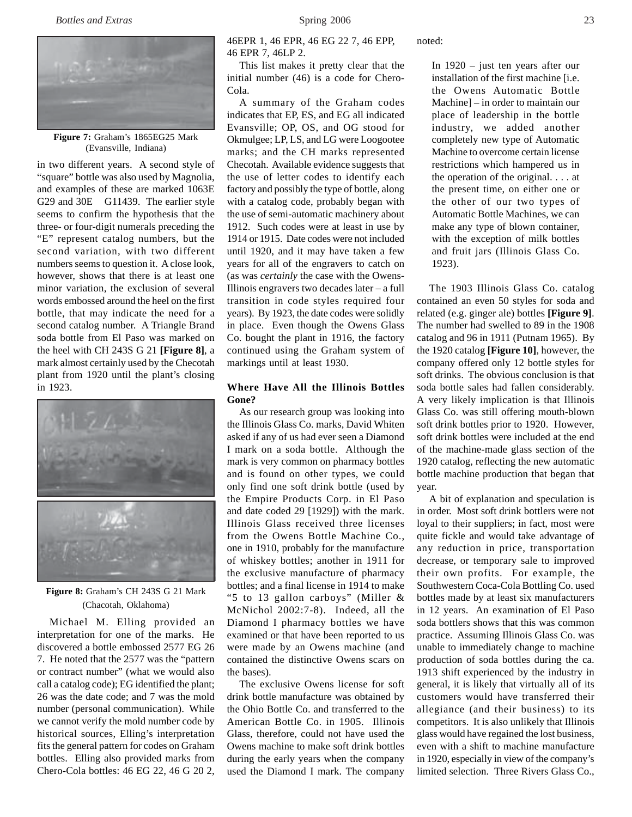

**Figure 7:** Graham's 1865EG25 Mark (Evansville, Indiana)

in two different years. A second style of "square" bottle was also used by Magnolia, and examples of these are marked 1063E G29 and 30E G11439. The earlier style seems to confirm the hypothesis that the three- or four-digit numerals preceding the "E" represent catalog numbers, but the second variation, with two different numbers seems to question it. A close look, however, shows that there is at least one minor variation, the exclusion of several words embossed around the heel on the first bottle, that may indicate the need for a second catalog number. A Triangle Brand soda bottle from El Paso was marked on the heel with CH 243S G 21 **[Figure 8]**, a mark almost certainly used by the Checotah plant from 1920 until the plant's closing in 1923.



**Figure 8:** Graham's CH 243S G 21 Mark (Chacotah, Oklahoma)

Michael M. Elling provided an interpretation for one of the marks. He discovered a bottle embossed 2577 EG 26 7. He noted that the 2577 was the "pattern or contract number" (what we would also call a catalog code); EG identified the plant; 26 was the date code; and 7 was the mold number (personal communication). While we cannot verify the mold number code by historical sources, Elling's interpretation fits the general pattern for codes on Graham bottles. Elling also provided marks from Chero-Cola bottles: 46 EG 22, 46 G 20 2,

46EPR 1, 46 EPR, 46 EG 22 7, 46 EPP, 46 EPR 7, 46LP 2.

This list makes it pretty clear that the initial number (46) is a code for Chero-Cola.

A summary of the Graham codes indicates that EP, ES, and EG all indicated Evansville; OP, OS, and OG stood for Okmulgee; LP, LS, and LG were Loogootee marks; and the CH marks represented Checotah. Available evidence suggests that the use of letter codes to identify each factory and possibly the type of bottle, along with a catalog code, probably began with the use of semi-automatic machinery about 1912. Such codes were at least in use by 1914 or 1915. Date codes were not included until 1920, and it may have taken a few years for all of the engravers to catch on (as was *certainly* the case with the Owens-Illinois engravers two decades later – a full transition in code styles required four years). By 1923, the date codes were solidly in place. Even though the Owens Glass Co. bought the plant in 1916, the factory continued using the Graham system of markings until at least 1930.

# **Where Have All the Illinois Bottles Gone?**

As our research group was looking into the Illinois Glass Co. marks, David Whiten asked if any of us had ever seen a Diamond I mark on a soda bottle. Although the mark is very common on pharmacy bottles and is found on other types, we could only find one soft drink bottle (used by the Empire Products Corp. in El Paso and date coded 29 [1929]) with the mark. Illinois Glass received three licenses from the Owens Bottle Machine Co., one in 1910, probably for the manufacture of whiskey bottles; another in 1911 for the exclusive manufacture of pharmacy bottles; and a final license in 1914 to make "5 to 13 gallon carboys" (Miller & McNichol 2002:7-8). Indeed, all the Diamond I pharmacy bottles we have examined or that have been reported to us were made by an Owens machine (and contained the distinctive Owens scars on the bases).

The exclusive Owens license for soft drink bottle manufacture was obtained by the Ohio Bottle Co. and transferred to the American Bottle Co. in 1905. Illinois Glass, therefore, could not have used the Owens machine to make soft drink bottles during the early years when the company used the Diamond I mark. The company

noted:

In 1920 – just ten years after our installation of the first machine [i.e. the Owens Automatic Bottle Machine] – in order to maintain our place of leadership in the bottle industry, we added another completely new type of Automatic Machine to overcome certain license restrictions which hampered us in the operation of the original. . . . at the present time, on either one or the other of our two types of Automatic Bottle Machines, we can make any type of blown container, with the exception of milk bottles and fruit jars (Illinois Glass Co. 1923).

The 1903 Illinois Glass Co. catalog contained an even 50 styles for soda and related (e.g. ginger ale) bottles **[Figure 9]**. The number had swelled to 89 in the 1908 catalog and 96 in 1911 (Putnam 1965). By the 1920 catalog **[Figure 10]**, however, the company offered only 12 bottle styles for soft drinks. The obvious conclusion is that soda bottle sales had fallen considerably. A very likely implication is that Illinois Glass Co. was still offering mouth-blown soft drink bottles prior to 1920. However, soft drink bottles were included at the end of the machine-made glass section of the 1920 catalog, reflecting the new automatic bottle machine production that began that year.

A bit of explanation and speculation is in order. Most soft drink bottlers were not loyal to their suppliers; in fact, most were quite fickle and would take advantage of any reduction in price, transportation decrease, or temporary sale to improved their own profits. For example, the Southwestern Coca-Cola Bottling Co. used bottles made by at least six manufacturers in 12 years. An examination of El Paso soda bottlers shows that this was common practice. Assuming Illinois Glass Co. was unable to immediately change to machine production of soda bottles during the ca. 1913 shift experienced by the industry in general, it is likely that virtually all of its customers would have transferred their allegiance (and their business) to its competitors. It is also unlikely that Illinois glass would have regained the lost business, even with a shift to machine manufacture in 1920, especially in view of the company's limited selection. Three Rivers Glass Co.,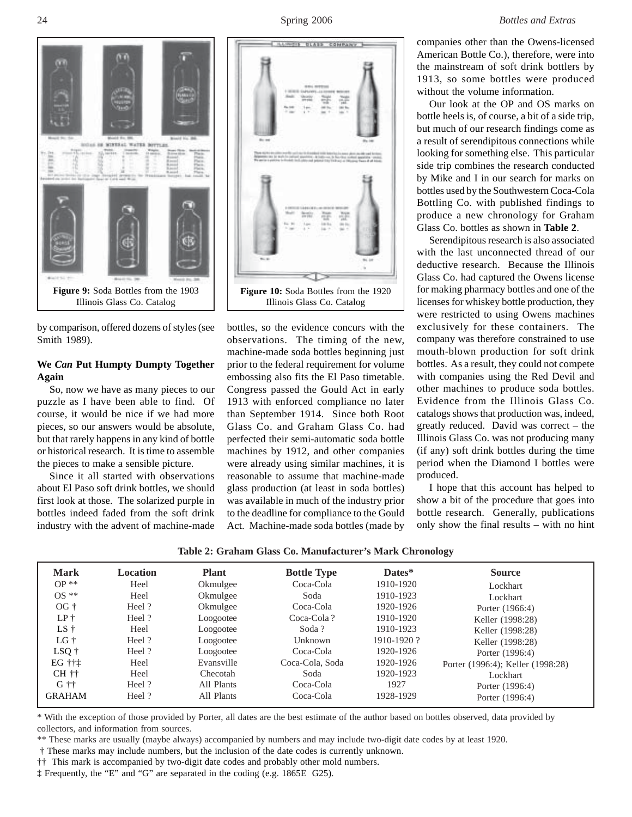

by comparison, offered dozens of styles (see Smith 1989).

# **We** *Can* **Put Humpty Dumpty Together Again**

So, now we have as many pieces to our puzzle as I have been able to find. Of course, it would be nice if we had more pieces, so our answers would be absolute, but that rarely happens in any kind of bottle or historical research. It is time to assemble the pieces to make a sensible picture.

Since it all started with observations about El Paso soft drink bottles, we should first look at those. The solarized purple in bottles indeed faded from the soft drink industry with the advent of machine-made



bottles, so the evidence concurs with the observations. The timing of the new, machine-made soda bottles beginning just prior to the federal requirement for volume embossing also fits the El Paso timetable. Congress passed the Gould Act in early 1913 with enforced compliance no later than September 1914. Since both Root Glass Co. and Graham Glass Co. had perfected their semi-automatic soda bottle machines by 1912, and other companies were already using similar machines, it is reasonable to assume that machine-made glass production (at least in soda bottles) was available in much of the industry prior to the deadline for compliance to the Gould Act. Machine-made soda bottles (made by

companies other than the Owens-licensed American Bottle Co.), therefore, were into the mainstream of soft drink bottlers by 1913, so some bottles were produced without the volume information.

Our look at the OP and OS marks on bottle heels is, of course, a bit of a side trip, but much of our research findings come as a result of serendipitous connections while looking for something else. This particular side trip combines the research conducted by Mike and I in our search for marks on bottles used by the Southwestern Coca-Cola Bottling Co. with published findings to produce a new chronology for Graham Glass Co. bottles as shown in **Table 2**.

Serendipitous research is also associated with the last unconnected thread of our deductive research. Because the Illinois Glass Co. had captured the Owens license for making pharmacy bottles and one of the licenses for whiskey bottle production, they were restricted to using Owens machines exclusively for these containers. The company was therefore constrained to use mouth-blown production for soft drink bottles. As a result, they could not compete with companies using the Red Devil and other machines to produce soda bottles. Evidence from the Illinois Glass Co. catalogs shows that production was, indeed, greatly reduced. David was correct – the Illinois Glass Co. was not producing many (if any) soft drink bottles during the time period when the Diamond I bottles were produced.

I hope that this account has helped to show a bit of the procedure that goes into bottle research. Generally, publications only show the final results – with no hint

**Table 2: Graham Glass Co. Manufacturer's Mark Chronology**

| <b>Mark</b>             | <b>Location</b> | <b>Plant</b> | <b>Bottle Type</b> | Dates*     | <b>Source</b>                     |
|-------------------------|-----------------|--------------|--------------------|------------|-----------------------------------|
| $OP**$                  | Heel            | Okmulgee     | Coca-Cola          | 1910-1920  | Lockhart                          |
| $OS **$                 | Heel            | Okmulgee     | Soda               | 1910-1923  | Lockhart                          |
| $OG +$                  | Heel?           | Okmulgee     | Coca-Cola          | 1920-1926  | Porter (1966:4)                   |
| $LP+$                   | Heel?           | Loogootee    | Coca-Cola?         | 1910-1920  | Keller (1998:28)                  |
| $LS +$                  | Heel            | Loogootee    | Soda?              | 1910-1923  | Keller (1998:28)                  |
| $LG +$                  | Heel?           | Loogootee    | Unknown            | 1910-1920? | Keller (1998:28)                  |
| $LSQ$ †                 | Heel?           | Loogootee    | Coca-Cola          | 1920-1926  | Porter (1996:4)                   |
| EG †††                  | Heel            | Evansville   | Coca-Cola, Soda    | 1920-1926  | Porter (1996:4); Keller (1998:28) |
| $CH$ $\dagger \dagger$  | Heel            | Checotah     | Soda               | 1920-1923  | Lockhart                          |
| $G$ $\dagger$ $\dagger$ | Heel?           | All Plants   | Coca-Cola          | 1927       | Porter (1996:4)                   |
| <b>GRAHAM</b>           | Heel?           | All Plants   | Coca-Cola          | 1928-1929  | Porter (1996:4)                   |
|                         |                 |              |                    |            |                                   |

\* With the exception of those provided by Porter, all dates are the best estimate of the author based on bottles observed, data provided by collectors, and information from sources.

\*\* These marks are usually (maybe always) accompanied by numbers and may include two-digit date codes by at least 1920.

† These marks may include numbers, but the inclusion of the date codes is currently unknown.

†† This mark is accompanied by two-digit date codes and probably other mold numbers.

‡ Frequently, the "E" and "G" are separated in the coding (e.g. 1865E G25).